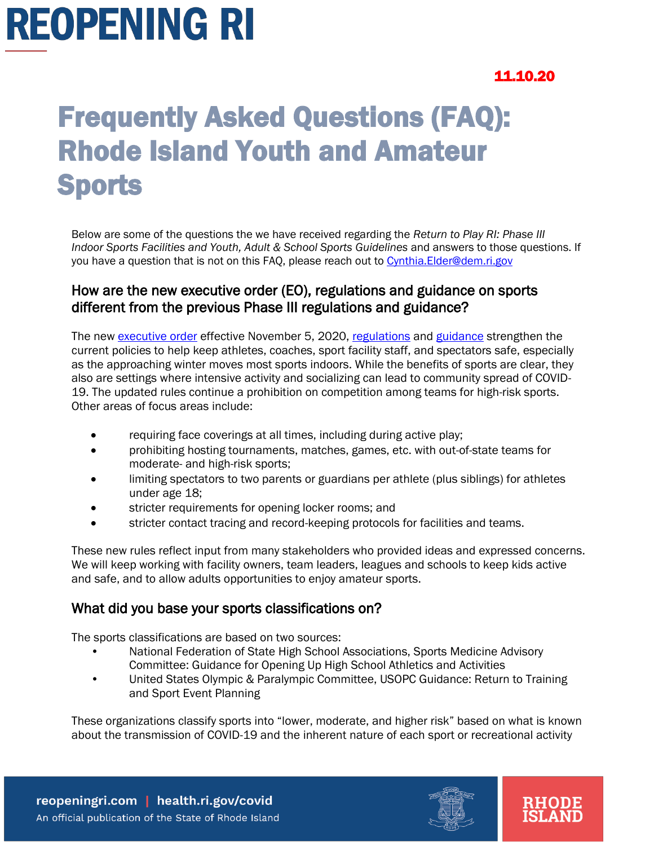### 11.10.20

### Frequently Asked Questions (FAQ): Rhode Island Youth and Amateur Sports

Below are some of the questions the we have received regarding the *Return to Play RI: Phase III Indoor Sports Facilities and Youth, Adult & School Sports Guidelines* and answers to those questions. If you have a question that is not on this FAQ, please reach out to Cynthia. Elder@dem.ri.gov

### How are the new executive order (EO), regulations and guidance on sports different from the previous Phase III regulations and guidance?

The new [executive order](https://governor.ri.gov/documents/orders/Executive-Order-20-95.pdf) effective November 5, 2020, [regulations](https://rules.sos.ri.gov/regulations/part/216-50-15-7) and [guidance](https://reopeningri.com/wp-content/uploads/2020/11/Phase-III-youth-and-adult-sports-guidance_110620.pdf) strengthen the current policies to help keep athletes, coaches, sport facility staff, and spectators safe, especially as the approaching winter moves most sports indoors. While the benefits of sports are clear, they also are settings where intensive activity and socializing can lead to community spread of COVID-19. The updated rules continue a prohibition on competition among teams for high-risk sports. Other areas of focus areas include:

- requiring face coverings at all times, including during active play;
- prohibiting hosting tournaments, matches, games, etc. with out-of-state teams for moderate- and high-risk sports;
- limiting spectators to two parents or guardians per athlete (plus siblings) for athletes under age 18;
- stricter requirements for opening locker rooms; and
- stricter contact tracing and record-keeping protocols for facilities and teams.

These new rules reflect input from many stakeholders who provided ideas and expressed concerns. We will keep working with facility owners, team leaders, leagues and schools to keep kids active and safe, and to allow adults opportunities to enjoy amateur sports.

#### What did you base your sports classifications on?

The sports classifications are based on two sources:

- National Federation of State High School Associations, Sports Medicine Advisory Committee: Guidance for Opening Up High School Athletics and Activities
- United States Olympic & Paralympic Committee, USOPC Guidance: Return to Training and Sport Event Planning

These organizations classify sports into "lower, moderate, and higher risk" based on what is known about the transmission of COVID-19 and the inherent nature of each sport or recreational activity

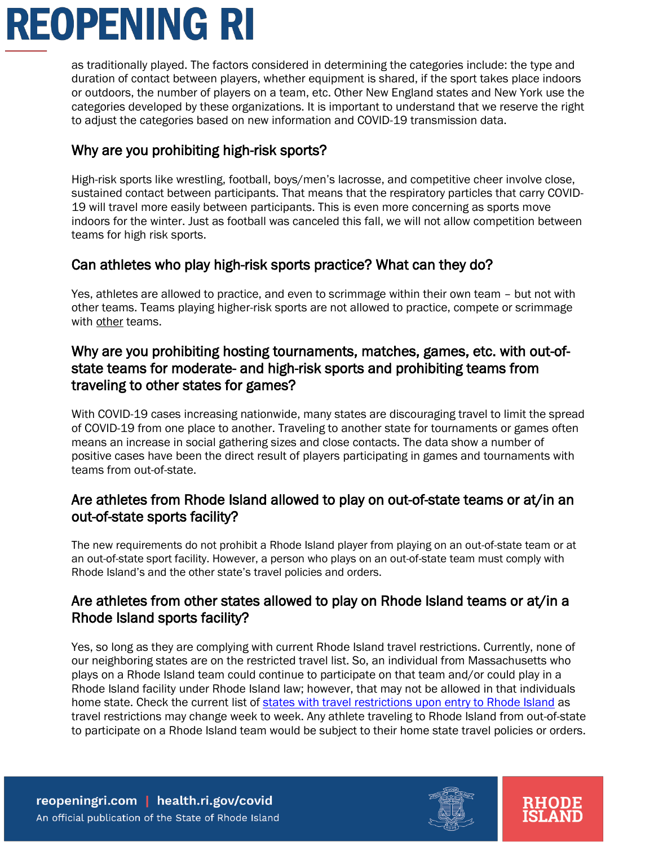as traditionally played. The factors considered in determining the categories include: the type and duration of contact between players, whether equipment is shared, if the sport takes place indoors or outdoors, the number of players on a team, etc. Other New England states and New York use the categories developed by these organizations. It is important to understand that we reserve the right to adjust the categories based on new information and COVID-19 transmission data.

### Why are you prohibiting high-risk sports?

High-risk sports like wrestling, football, boys/men's lacrosse, and competitive cheer involve close, sustained contact between participants. That means that the respiratory particles that carry COVID-19 will travel more easily between participants. This is even more concerning as sports move indoors for the winter. Just as football was canceled this fall, we will not allow competition between teams for high risk sports.

### Can athletes who play high-risk sports practice? What can they do?

Yes, athletes are allowed to practice, and even to scrimmage within their own team – but not with other teams. Teams playing higher-risk sports are not allowed to practice, compete or scrimmage with other teams.

### Why are you prohibiting hosting tournaments, matches, games, etc. with out-ofstate teams for moderate- and high-risk sports and prohibiting teams from traveling to other states for games?

With COVID-19 cases increasing nationwide, many states are discouraging travel to limit the spread of COVID-19 from one place to another. Traveling to another state for tournaments or games often means an increase in social gathering sizes and close contacts. The data show a number of positive cases have been the direct result of players participating in games and tournaments with teams from out-of-state.

### Are athletes from Rhode Island allowed to play on out-of-state teams or at/in an out-of-state sports facility?

The new requirements do not prohibit a Rhode Island player from playing on an out-of-state team or at an out-of-state sport facility. However, a person who plays on an out-of-state team must comply with Rhode Island's and the other state's travel policies and orders.

### Are athletes from other states allowed to play on Rhode Island teams or at/in a Rhode Island sports facility?

Yes, so long as they are complying with current Rhode Island travel restrictions. Currently, none of our neighboring states are on the restricted travel list. So, an individual from Massachusetts who plays on a Rhode Island team could continue to participate on that team and/or could play in a Rhode Island facility under Rhode Island law; however, that may not be allowed in that individuals home state. Check the current list of [states with travel restrictions upon entry to Rhode Island](https://docs.google.com/spreadsheets/d/1y2bZYshiLAhXgYsz5zGutBWPgtACR4VuD7IvWqyJFdo/edit#gid=0) as travel restrictions may change week to week. Any athlete traveling to Rhode Island from out-of-state to participate on a Rhode Island team would be subject to their home state travel policies or orders.



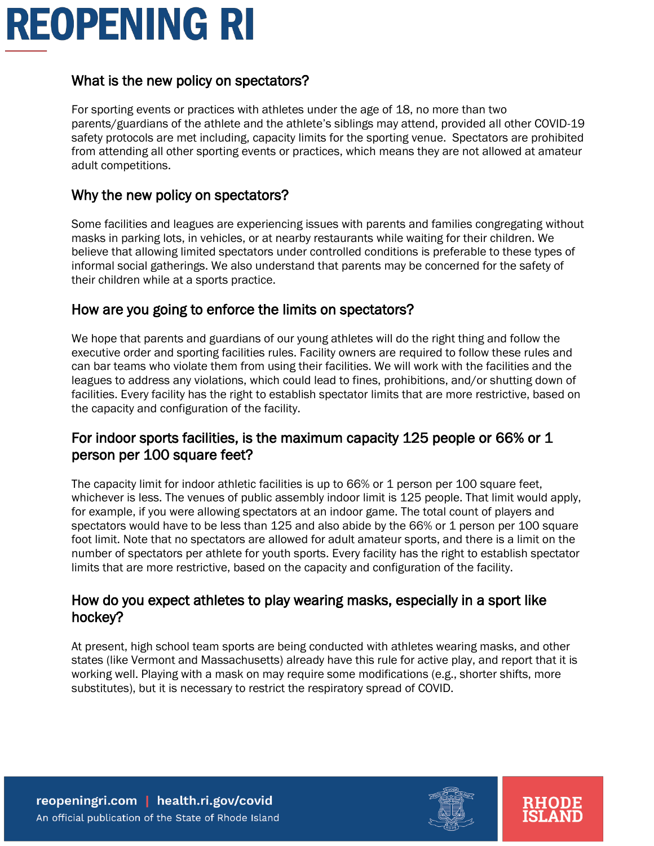### What is the new policy on spectators?

For sporting events or practices with athletes under the age of 18, no more than two parents/guardians of the athlete and the athlete's siblings may attend, provided all other COVID-19 safety protocols are met including, capacity limits for the sporting venue. Spectators are prohibited from attending all other sporting events or practices, which means they are not allowed at amateur adult competitions.

### Why the new policy on spectators?

Some facilities and leagues are experiencing issues with parents and families congregating without masks in parking lots, in vehicles, or at nearby restaurants while waiting for their children. We believe that allowing limited spectators under controlled conditions is preferable to these types of informal social gatherings. We also understand that parents may be concerned for the safety of their children while at a sports practice.

#### How are you going to enforce the limits on spectators?

We hope that parents and guardians of our young athletes will do the right thing and follow the executive order and sporting facilities rules. Facility owners are required to follow these rules and can bar teams who violate them from using their facilities. We will work with the facilities and the leagues to address any violations, which could lead to fines, prohibitions, and/or shutting down of facilities. Every facility has the right to establish spectator limits that are more restrictive, based on the capacity and configuration of the facility.

### For indoor sports facilities, is the maximum capacity 125 people or 66% or 1 person per 100 square feet?

The capacity limit for indoor athletic facilities is up to 66% or 1 person per 100 square feet, whichever is less. The venues of public assembly indoor limit is 125 people. That limit would apply, for example, if you were allowing spectators at an indoor game. The total count of players and spectators would have to be less than 125 and also abide by the 66% or 1 person per 100 square foot limit. Note that no spectators are allowed for adult amateur sports, and there is a limit on the number of spectators per athlete for youth sports. Every facility has the right to establish spectator limits that are more restrictive, based on the capacity and configuration of the facility.

#### How do you expect athletes to play wearing masks, especially in a sport like hockey?

At present, high school team sports are being conducted with athletes wearing masks, and other states (like Vermont and Massachusetts) already have this rule for active play, and report that it is working well. Playing with a mask on may require some modifications (e.g., shorter shifts, more substitutes), but it is necessary to restrict the respiratory spread of COVID.

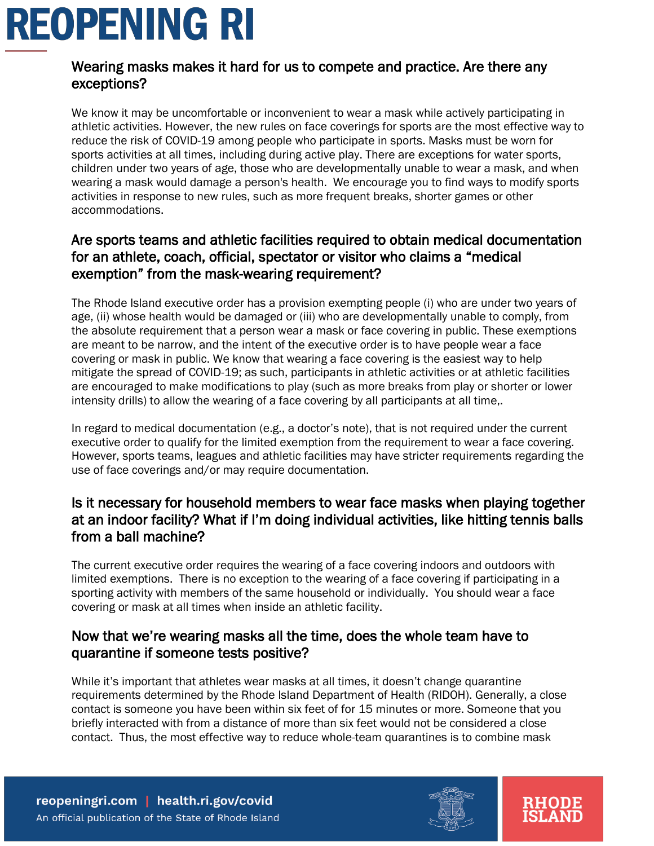### Wearing masks makes it hard for us to compete and practice. Are there any exceptions?

We know it may be uncomfortable or inconvenient to wear a mask while actively participating in athletic activities. However, the new rules on face coverings for sports are the most effective way to reduce the risk of COVID-19 among people who participate in sports. Masks must be worn for sports activities at all times, including during active play. There are exceptions for water sports, children under two years of age, those who are developmentally unable to wear a mask, and when wearing a mask would damage a person's health. We encourage you to find ways to modify sports activities in response to new rules, such as more frequent breaks, shorter games or other accommodations.

### Are sports teams and athletic facilities required to obtain medical documentation for an athlete, coach, official, spectator or visitor who claims a "medical exemption" from the mask-wearing requirement?

The Rhode Island executive order has a provision exempting people (i) who are under two years of age, (ii) whose health would be damaged or (iii) who are developmentally unable to comply, from the absolute requirement that a person wear a mask or face covering in public. These exemptions are meant to be narrow, and the intent of the executive order is to have people wear a face covering or mask in public. We know that wearing a face covering is the easiest way to help mitigate the spread of COVID-19; as such, participants in athletic activities or at athletic facilities are encouraged to make modifications to play (such as more breaks from play or shorter or lower intensity drills) to allow the wearing of a face covering by all participants at all time,.

In regard to medical documentation (e.g., a doctor's note), that is not required under the current executive order to qualify for the limited exemption from the requirement to wear a face covering. However, sports teams, leagues and athletic facilities may have stricter requirements regarding the use of face coverings and/or may require documentation.

### Is it necessary for household members to wear face masks when playing together at an indoor facility? What if I'm doing individual activities, like hitting tennis balls from a ball machine?

The current executive order requires the wearing of a face covering indoors and outdoors with limited exemptions. There is no exception to the wearing of a face covering if participating in a sporting activity with members of the same household or individually. You should wear a face covering or mask at all times when inside an athletic facility.

### Now that we're wearing masks all the time, does the whole team have to quarantine if someone tests positive?

While it's important that athletes wear masks at all times, it doesn't change quarantine requirements determined by the Rhode Island Department of Health (RIDOH). Generally, a close contact is someone you have been within six feet of for 15 minutes or more. Someone that you briefly interacted with from a distance of more than six feet would not be considered a close contact. Thus, the most effective way to reduce whole-team quarantines is to combine mask



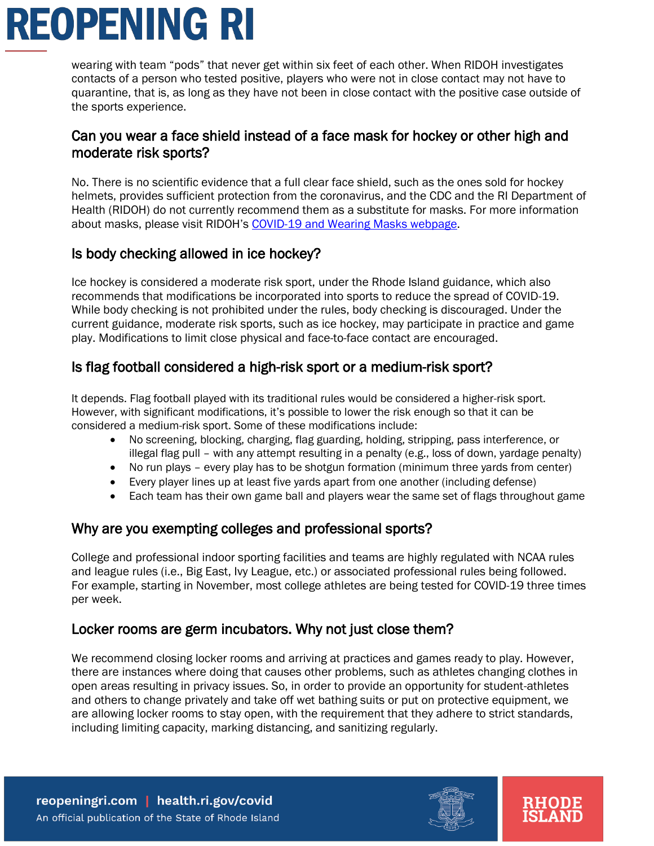wearing with team "pods" that never get within six feet of each other. When RIDOH investigates contacts of a person who tested positive, players who were not in close contact may not have to quarantine, that is, as long as they have not been in close contact with the positive case outside of the sports experience.

### Can you wear a face shield instead of a face mask for hockey or other high and moderate risk sports?

No. There is no scientific evidence that a full clear face shield, such as the ones sold for hockey helmets, provides sufficient protection from the coronavirus, and the CDC and the RI Department of Health (RIDOH) do not currently recommend them as a substitute for masks. For more information about masks, please visit RIDOH's [COVID-19 and Wearing Masks webpage.](https://health.ri.gov/covid/wearingmasks/)

### Is body checking allowed in ice hockey?

Ice hockey is considered a moderate risk sport, under the Rhode Island guidance, which also recommends that modifications be incorporated into sports to reduce the spread of COVID-19. While body checking is not prohibited under the rules, body checking is discouraged. Under the current guidance, moderate risk sports, such as ice hockey, may participate in practice and game play. Modifications to limit close physical and face-to-face contact are encouraged.

### Is flag football considered a high-risk sport or a medium-risk sport?

It depends. Flag football played with its traditional rules would be considered a higher-risk sport. However, with significant modifications, it's possible to lower the risk enough so that it can be considered a medium-risk sport. Some of these modifications include:

- No screening, blocking, charging, flag guarding, holding, stripping, pass interference, or illegal flag pull – with any attempt resulting in a penalty (e.g., loss of down, yardage penalty)
- No run plays every play has to be shotgun formation (minimum three yards from center)
- Every player lines up at least five yards apart from one another (including defense)
- Each team has their own game ball and players wear the same set of flags throughout game

### Why are you exempting colleges and professional sports?

College and professional indoor sporting facilities and teams are highly regulated with NCAA rules and league rules (i.e., Big East, Ivy League, etc.) or associated professional rules being followed. For example, starting in November, most college athletes are being tested for COVID-19 three times per week.

### Locker rooms are germ incubators. Why not just close them?

We recommend closing locker rooms and arriving at practices and games ready to play. However, there are instances where doing that causes other problems, such as athletes changing clothes in open areas resulting in privacy issues. So, in order to provide an opportunity for student-athletes and others to change privately and take off wet bathing suits or put on protective equipment, we are allowing locker rooms to stay open, with the requirement that they adhere to strict standards, including limiting capacity, marking distancing, and sanitizing regularly.